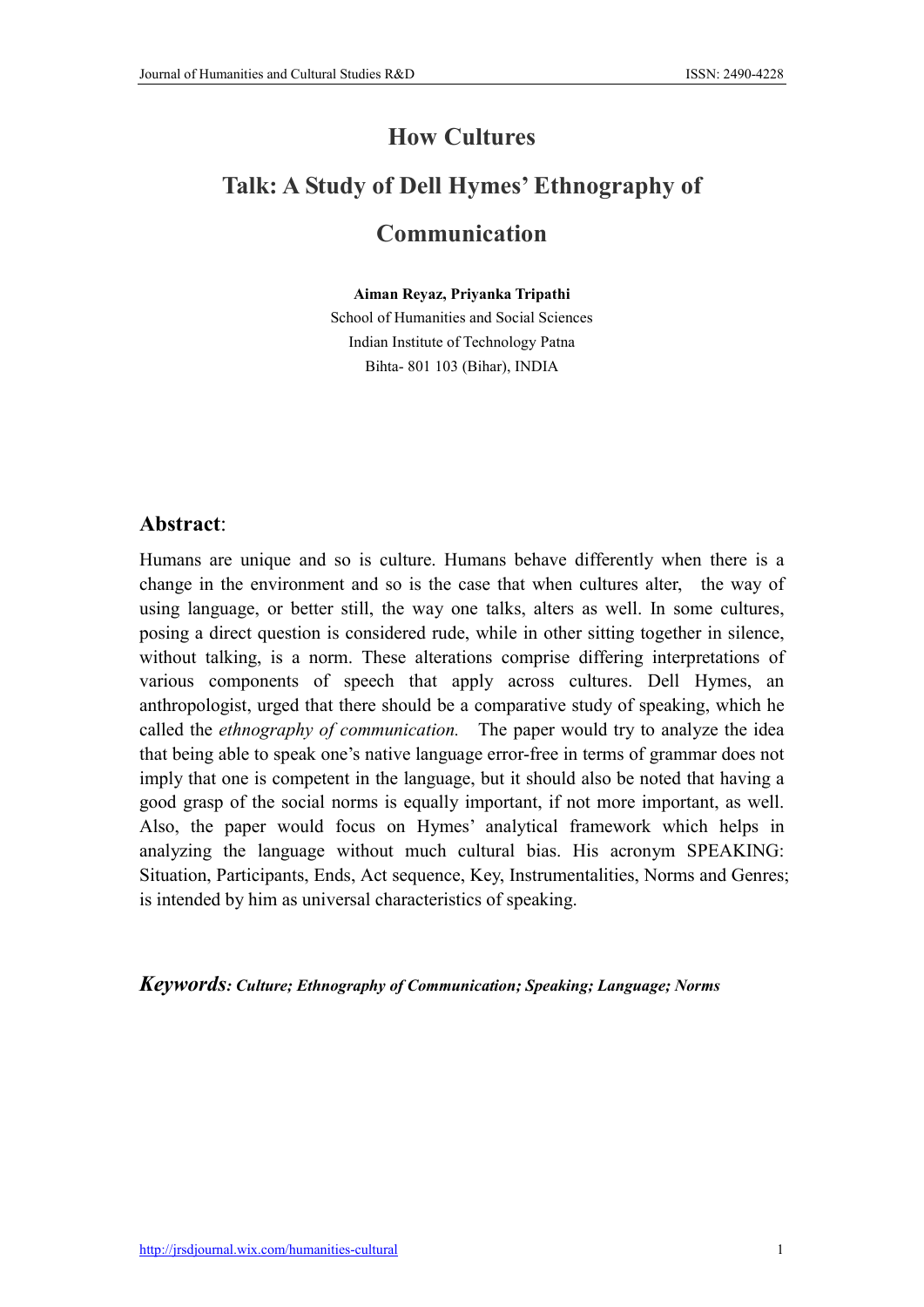## How Cultures Talk: A Study of Dell Hymes' Ethnography of Communication

Aiman Reyaz, Priyanka Tripathi

School of Humanities and Social Sciences Indian Institute of Technology Patna Bihta- 801 103 (Bihar), INDIA

## Abstract:

Humans are unique and so is culture. Humans behave differently when there is a change in the environment and so is the case that when cultures alter, the way of using language, or better still, the way one talks, alters as well. In some cultures, posing a direct question is considered rude, while in other sitting together in silence, without talking, is a norm. These alterations comprise differing interpretations of various components of speech that apply across cultures. Dell Hymes, an anthropologist, urged that there should be a comparative study of speaking, which he called the *ethnography of communication.* The paper would try to analyze the idea that being able to speak one's native language error-free in terms of grammar does not imply that one is competent in the language, but it should also be noted that having a good grasp of the social norms is equally important, if not more important, as well. Also, the paper would focus on Hymes' analytical framework which helps in analyzing the language without much cultural bias. His acronym SPEAKING: Situation, Participants, Ends, Act sequence, Key, Instrumentalities, Norms and Genres; is intended by him as universal characteristics of speaking.

*Keywords: Culture; Ethnography of Communication; Speaking; Language; Norms*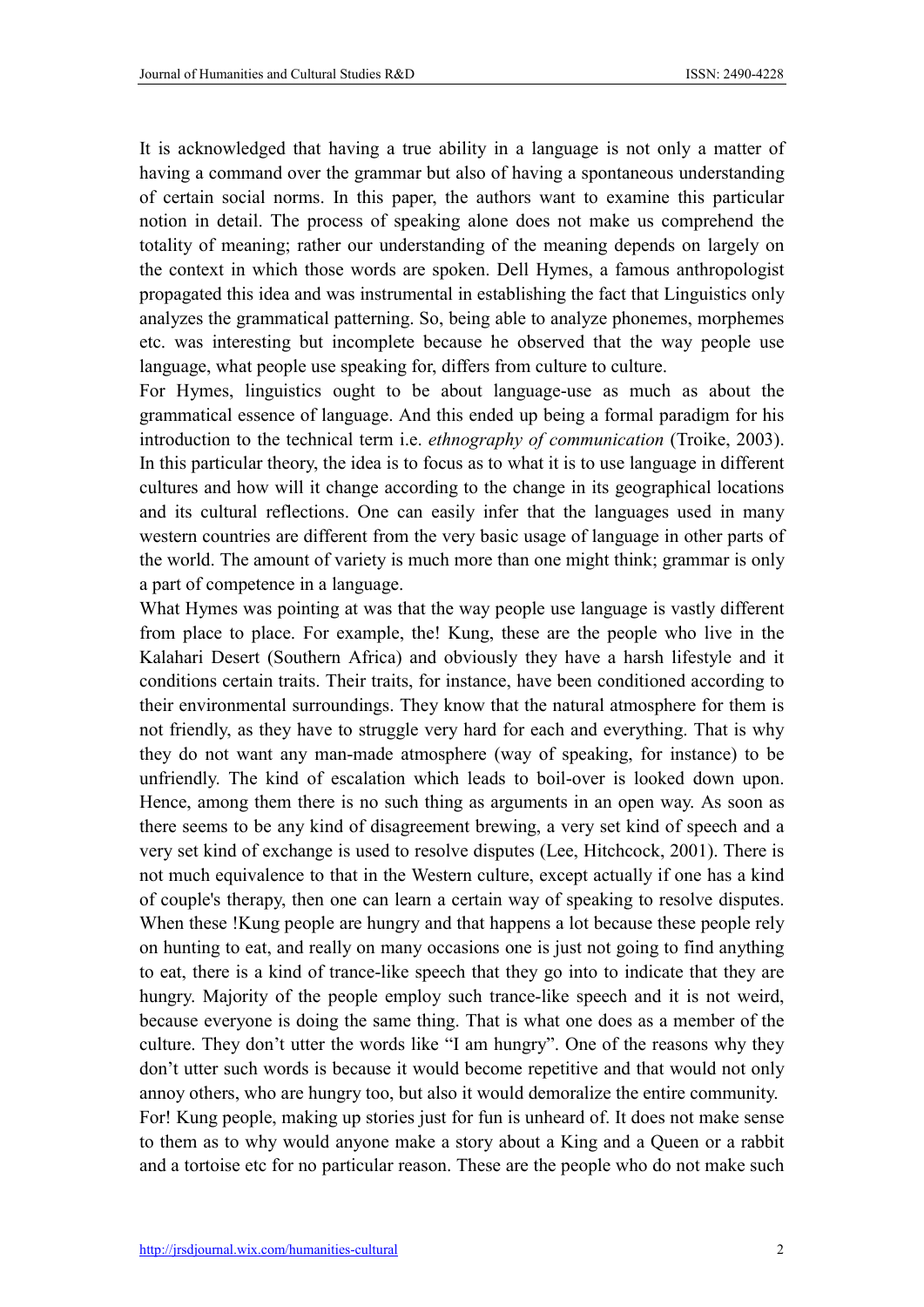It is acknowledged that having a true ability in a language is not only a matter of having a command over the grammar but also of having a spontaneous understanding of certain social norms. In this paper, the authors want to examine this particular notion in detail. The process of speaking alone does not make us comprehend the totality of meaning; rather our understanding of the meaning depends on largely on the context in which those words are spoken. Dell Hymes, a famous anthropologist propagated this idea and was instrumental in establishing the fact that Linguistics only analyzes the grammatical patterning. So, being able to analyze phonemes, morphemes etc. was interesting but incomplete because he observed that the way people use language, what people use speaking for, differs from culture to culture.

For Hymes, linguistics ought to be about language-use as much as about the grammatical essence of language. And this ended up being a formal paradigm for his introduction to the technical term i.e. *ethnography of communication* (Troike, 2003). In this particular theory, the idea is to focus as to what it is to use language in different cultures and how will it change according to the change in its geographical locations and its cultural reflections. One can easily infer that the languages used in many western countries are different from the very basic usage of language in other parts of the world. The amount of variety is much more than one might think; grammar is only a part of competence in a language.

What Hymes was pointing at was that the way people use language is vastly different from place to place. For example, the! Kung, these are the people who live in the Kalahari Desert (Southern Africa) and obviously they have a harsh lifestyle and it conditions certain traits. Their traits, for instance, have been conditioned according to their environmental surroundings. They know that the natural atmosphere for them is not friendly, as they have to struggle very hard for each and everything. That is why they do not want any man-made atmosphere (way of speaking, for instance) to be unfriendly. The kind of escalation which leads to boil-over is looked down upon. Hence, among them there is no such thing as arguments in an open way. As soon as there seems to be any kind of disagreement brewing, a very set kind of speech and a very set kind of exchange is used to resolve disputes (Lee, Hitchcock, 2001). There is not much equivalence to that in the Western culture, except actually if one has a kind of couple's therapy, then one can learn a certain way of speaking to resolve disputes. When these !Kung people are hungry and that happens a lot because these people rely on hunting to eat, and really on many occasions one is just not going to find anything to eat, there is a kind of trance-like speech that they go into to indicate that they are hungry. Majority of the people employ such trance-like speech and it is not weird, because everyone is doing the same thing. That is what one does as a member of the culture. They don't utter the words like "I am hungry". One of the reasons why they don't utter such words is because it would become repetitive and that would not only annoy others, who are hungry too, but also it would demoralize the entire community. For! Kung people, making up stories just for fun is unheard of. It does not make sense to them as to why would anyone make a story about a King and a Queen or a rabbit and a tortoise etc for no particular reason. These are the people who do not make such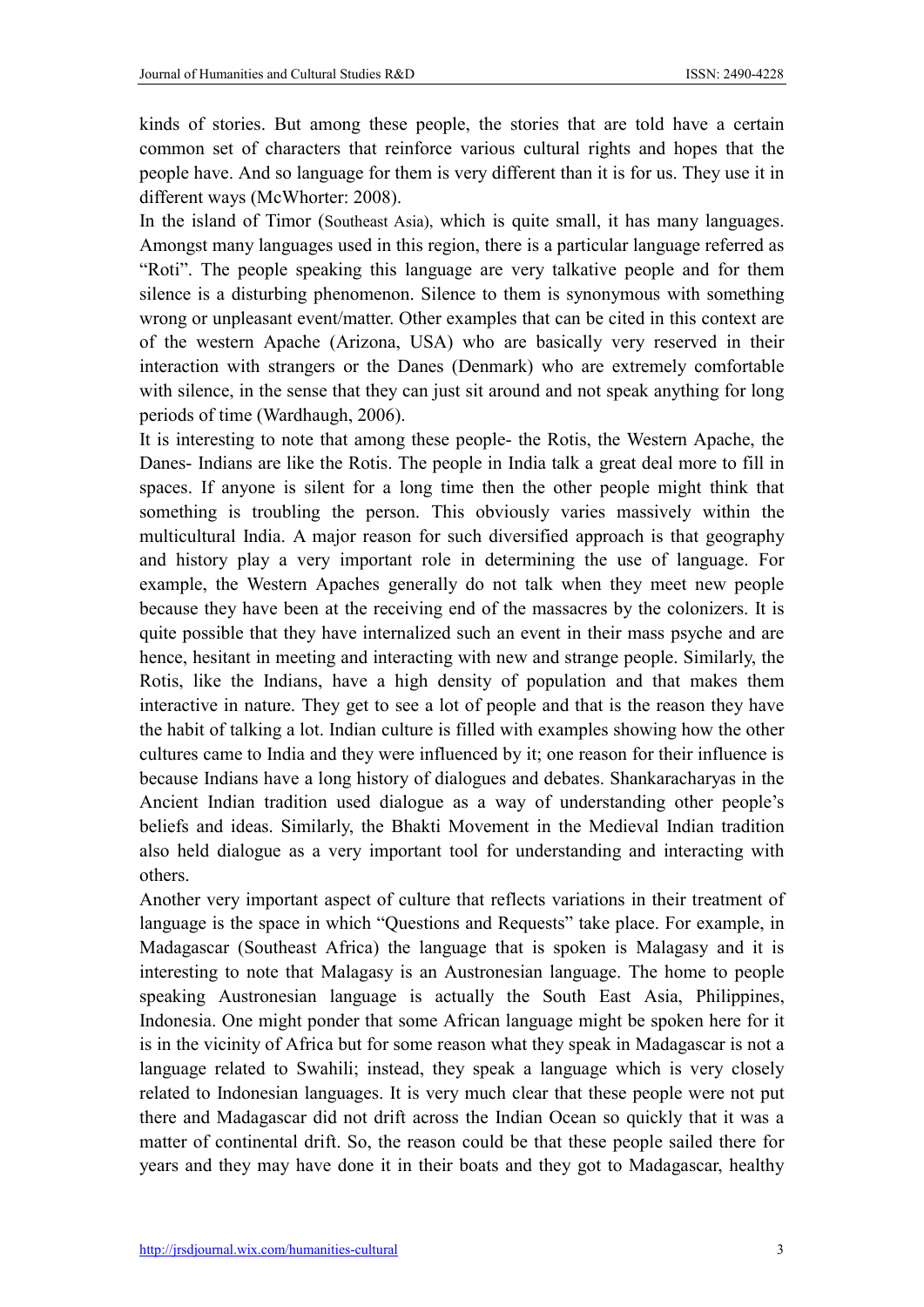kinds of stories. But among these people, the stories that are told have a certain common set of characters that reinforce various cultural rights and hopes that the people have. And so language for them is very different than it is for us. They use it in different ways (McWhorter: 2008).

In the island of Timor (Southeast Asia), which is quite small, it has many languages. Amongst many languages used in this region, there is a particular language referred as "Roti". The people speaking this language are very talkative people and for them silence is a disturbing phenomenon. Silence to them is synonymous with something wrong or unpleasant event/matter. Other examples that can be cited in this context are of the western Apache (Arizona, USA) who are basically very reserved in their interaction with strangers or the Danes (Denmark) who are extremely comfortable with silence, in the sense that they can just sit around and not speak anything for long periods of time (Wardhaugh, 2006).

It is interesting to note that among these people- the Rotis, the Western Apache, the Danes- Indians are like the Rotis. The people in India talk a great deal more to fill in spaces. If anyone is silent for a long time then the other people might think that something is troubling the person. This obviously varies massively within the multicultural India. A major reason for such diversified approach is that geography and history play a very important role in determining the use of language. For example, the Western Apaches generally do not talk when they meet new people because they have been at the receiving end of the massacres by the colonizers. It is quite possible that they have internalized such an event in their mass psyche and are hence, hesitant in meeting and interacting with new and strange people. Similarly, the Rotis, like the Indians, have a high density of population and that makes them interactive in nature. They get to see a lot of people and that is the reason they have the habit of talking a lot. Indian culture is filled with examples showing how the other cultures came to India and they were influenced by it; one reason for their influence is because Indians have a long history of dialogues and debates. Shankaracharyas in the Ancient Indian tradition used dialogue as a way of understanding other people's beliefs and ideas. Similarly, the Bhakti Movement in the Medieval Indian tradition also held dialogue as a very important tool for understanding and interacting with others.

Another very important aspect of culture that reflects variations in their treatment of language is the space in which "Questions and Requests" take place. For example, in Madagascar (Southeast Africa) the language that is spoken is Malagasy and it is interesting to note that Malagasy is an Austronesian language. The home to people speaking Austronesian language is actually the South East Asia, Philippines, Indonesia. One might ponder that some African language might be spoken here for it is in the vicinity of Africa but for some reason what they speak in Madagascar is not a language related to Swahili; instead, they speak a language which is very closely related to Indonesian languages. It is very much clear that these people were not put there and Madagascar did not drift across the Indian Ocean so quickly that it was a matter of continental drift. So, the reason could be that these people sailed there for years and they may have done it in their boats and they got to Madagascar, healthy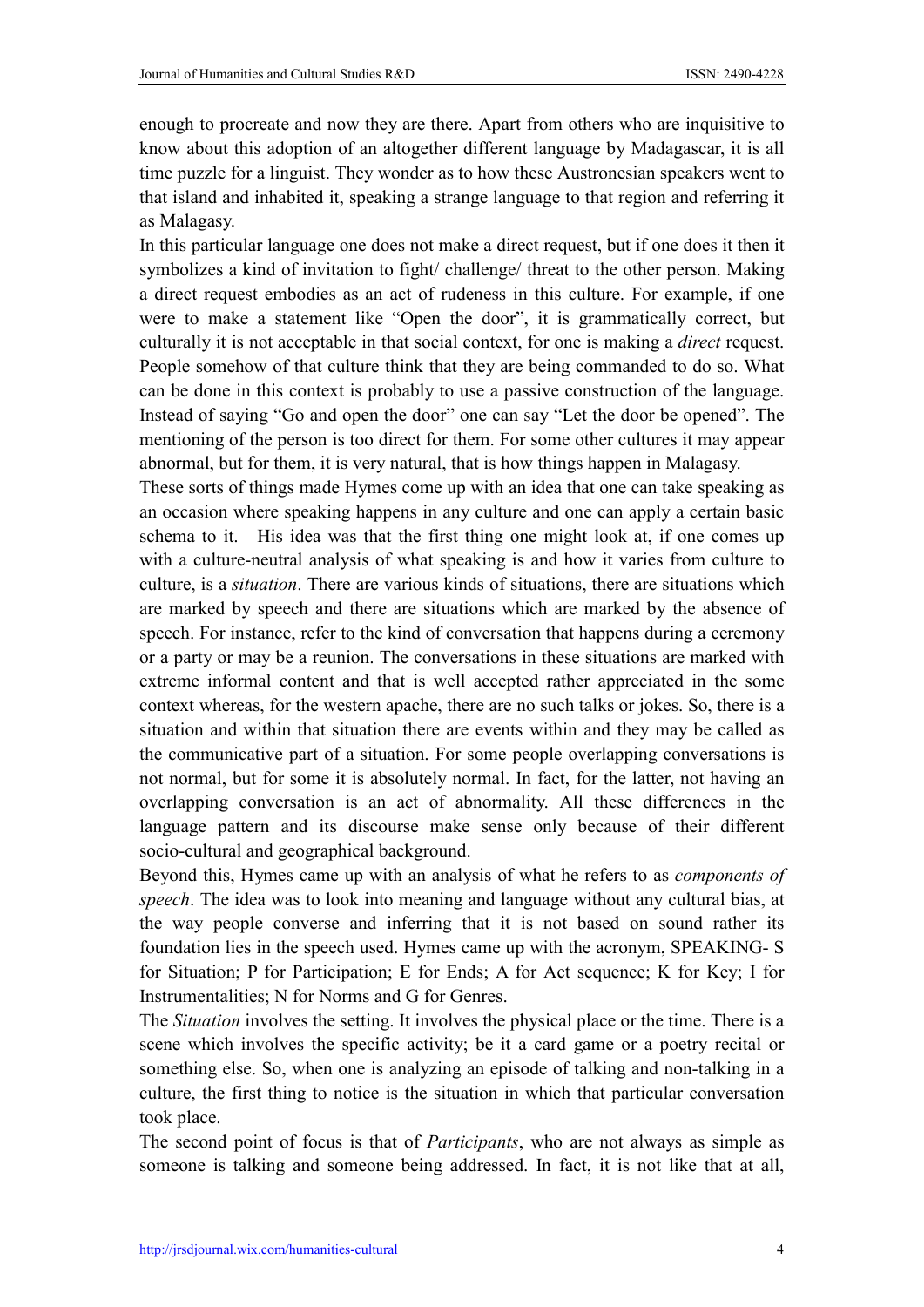enough to procreate and now they are there. Apart from others who are inquisitive to know about this adoption of an altogether different language by Madagascar, it is all time puzzle for a linguist. They wonder as to how these Austronesian speakers went to that island and inhabited it, speaking a strange language to that region and referring it as Malagasy.

In this particular language one does not make a direct request, but if one does it then it symbolizes a kind of invitation to fight/ challenge/ threat to the other person. Making a direct request embodies as an act of rudeness in this culture. For example, if one were to make a statement like "Open the door", it is grammatically correct, but culturally it is not acceptable in that social context, for one is making a *direct* request. People somehow of that culture think that they are being commanded to do so. What can be done in this context is probably to use a passive construction of the language. Instead of saying "Go and open the door" one can say "Let the door be opened". The mentioning of the person is too direct for them. For some other cultures it may appear abnormal, but for them, it is very natural, that is how things happen in Malagasy.

These sorts of things made Hymes come up with an idea that one can take speaking as an occasion where speaking happens in any culture and one can apply a certain basic schema to it. His idea was that the first thing one might look at, if one comes up with a culture-neutral analysis of what speaking is and how it varies from culture to culture, is a *situation*. There are various kinds of situations, there are situations which are marked by speech and there are situations which are marked by the absence of speech. For instance, refer to the kind of conversation that happens during a ceremony or a party or may be a reunion. The conversations in these situations are marked with extreme informal content and that is well accepted rather appreciated in the some context whereas, for the western apache, there are no such talks or jokes. So, there is a situation and within that situation there are events within and they may be called as the communicative part of a situation. For some people overlapping conversations is not normal, but for some it is absolutely normal. In fact, for the latter, not having an overlapping conversation is an act of abnormality. All these differences in the language pattern and its discourse make sense only because of their different socio-cultural and geographical background.

Beyond this, Hymes came up with an analysis of what he refers to as *components of speech*. The idea was to look into meaning and language without any cultural bias, at the way people converse and inferring that it is not based on sound rather its foundation lies in the speech used. Hymes came up with the acronym, SPEAKING- S for Situation; P for Participation; E for Ends; A for Act sequence; K for Key; I for Instrumentalities; N for Norms and G for Genres.

The *Situation* involves the setting. It involves the physical place or the time. There is a scene which involves the specific activity; be it a card game or a poetry recital or something else. So, when one is analyzing an episode of talking and non-talking in a culture, the first thing to notice is the situation in which that particular conversation took place.

The second point of focus is that of *Participants*, who are not always as simple as someone is talking and someone being addressed. In fact, it is not like that at all,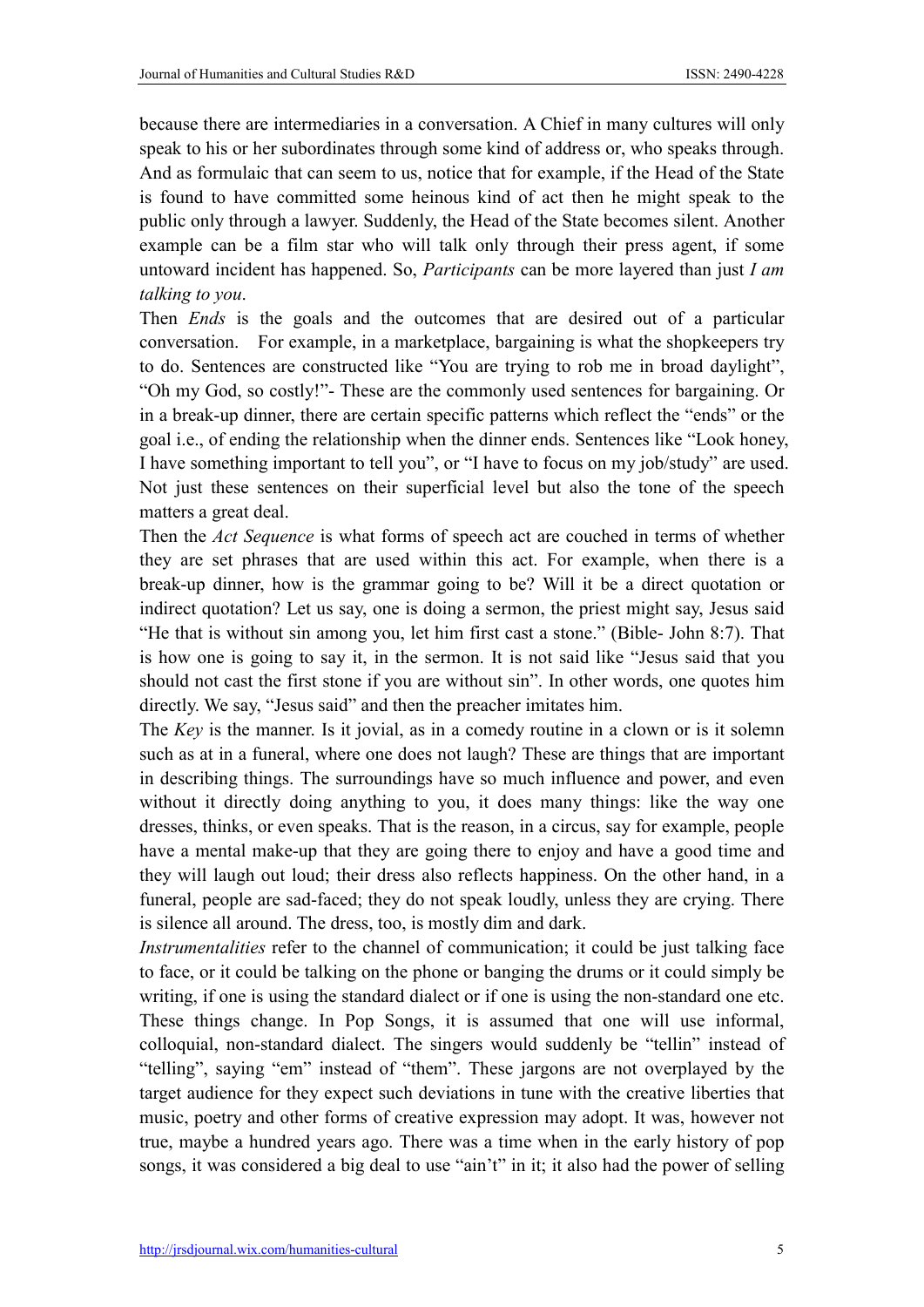because there are intermediaries in a conversation. A Chief in many cultures will only speak to his or her subordinates through some kind of address or, who speaks through. And as formulaic that can seem to us, notice that for example, if the Head of the State is found to have committed some heinous kind of act then he might speak to the public only through a lawyer. Suddenly, the Head of the State becomes silent. Another example can be a film star who will talk only through their press agent, if some untoward incident has happened. So, *Participants* can be more layered than just *I am talking to you*.

Then *Ends* is the goals and the outcomes that are desired out of a particular conversation. For example, in a marketplace, bargaining is what the shopkeepers try to do. Sentences are constructed like "You are trying to rob me in broad daylight", "Oh my God, so costly!"- These are the commonly used sentences for bargaining. Or in a break-up dinner, there are certain specific patterns which reflect the "ends" or the goal i.e., of ending the relationship when the dinner ends. Sentences like "Look honey, I have something important to tell you", or "I have to focus on my job/study" are used. Not just these sentences on their superficial level but also the tone of the speech matters a great deal.

Then the *Act Sequence* is what forms of speech act are couched in terms of whether they are set phrases that are used within this act. For example, when there is a break-up dinner, how is the grammar going to be? Will it be a direct quotation or indirect quotation? Let us say, one is doing a sermon, the priest might say, Jesus said "He that is without sin among you, let him first cast a stone." (Bible- John 8:7). That is how one is going to say it, in the sermon. It is not said like "Jesus said that you should not cast the first stone if you are without sin". In other words, one quotes him directly. We say, "Jesus said" and then the preacher imitates him.

The *Key* is the manner. Is it jovial, as in a comedy routine in a clown or is it solemn such as at in a funeral, where one does not laugh? These are things that are important in describing things. The surroundings have so much influence and power, and even without it directly doing anything to you, it does many things: like the way one dresses, thinks, or even speaks. That is the reason, in a circus, say for example, people have a mental make-up that they are going there to enjoy and have a good time and they will laugh out loud; their dress also reflects happiness. On the other hand, in a funeral, people are sad-faced; they do not speak loudly, unless they are crying. There is silence all around. The dress, too, is mostly dim and dark.

*Instrumentalities* refer to the channel of communication; it could be just talking face to face, or it could be talking on the phone or banging the drums or it could simply be writing, if one is using the standard dialect or if one is using the non-standard one etc. These things change. In Pop Songs, it is assumed that one will use informal, colloquial, non-standard dialect. The singers would suddenly be "tellin" instead of "telling", saying "em" instead of "them". These jargons are not overplayed by the target audience for they expect such deviations in tune with the creative liberties that music, poetry and other forms of creative expression may adopt. It was, however not true, maybe a hundred years ago. There was a time when in the early history of pop songs, it was considered a big deal to use "ain't" in it; it also had the power of selling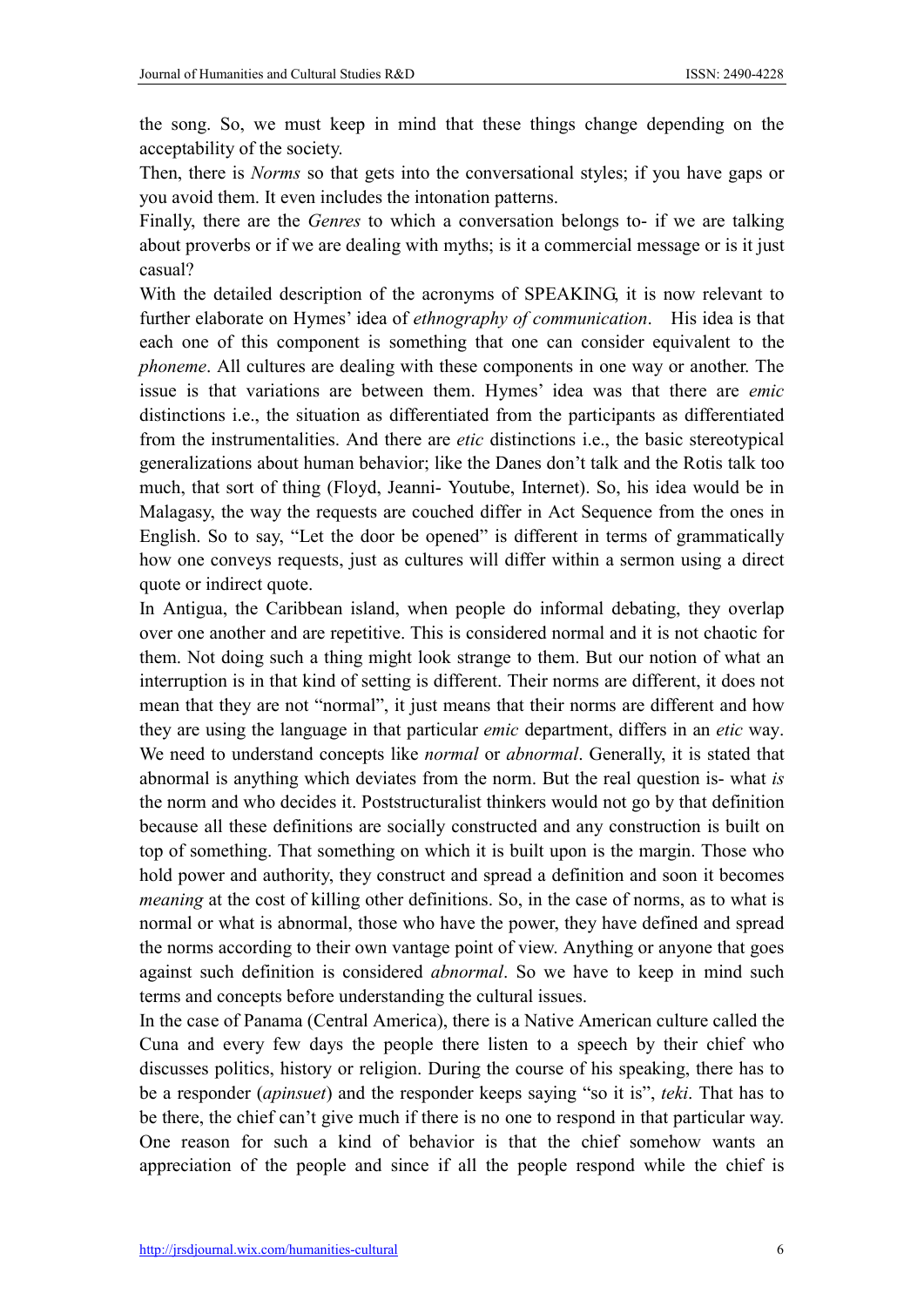the song. So, we must keep in mind that these things change depending on the acceptability of the society.

Then, there is *Norms* so that gets into the conversational styles; if you have gaps or you avoid them. It even includes the intonation patterns.

Finally, there are the *Genres* to which a conversation belongs to- if we are talking about proverbs or if we are dealing with myths; is it a commercial message or is it just casual?

With the detailed description of the acronyms of SPEAKING, it is now relevant to further elaborate on Hymes' idea of *ethnography of communication*. His idea is that each one of this component is something that one can consider equivalent to the *phoneme*. All cultures are dealing with these components in one way or another. The issue is that variations are between them. Hymes' idea was that there are *emic* distinctions i.e., the situation as differentiated from the participants as differentiated from the instrumentalities. And there are *etic* distinctions i.e., the basic stereotypical generalizations about human behavior; like the Danes don't talk and the Rotis talk too much, that sort of thing (Floyd, Jeanni- Youtube, Internet). So, his idea would be in Malagasy, the way the requests are couched differ in Act Sequence from the ones in English. So to say, "Let the door be opened" is different in terms of grammatically how one conveys requests, just as cultures will differ within a sermon using a direct quote or indirect quote.

In Antigua, the Caribbean island, when people do informal debating, they overlap over one another and are repetitive. This is considered normal and it is not chaotic for them. Not doing such a thing might look strange to them. But our notion of what an interruption is in that kind of setting is different. Their norms are different, it does not mean that they are not "normal", it just means that their norms are different and how they are using the language in that particular *emic* department, differs in an *etic* way. We need to understand concepts like *normal* or *abnormal*. Generally, it is stated that abnormal is anything which deviates from the norm. But the real question is- what *is* the norm and who decides it. Poststructuralist thinkers would not go by that definition because all these definitions are socially constructed and any construction is built on top of something. That something on which it is built upon is the margin. Those who hold power and authority, they construct and spread a definition and soon it becomes *meaning* at the cost of killing other definitions. So, in the case of norms, as to what is normal or what is abnormal, those who have the power, they have defined and spread the norms according to their own vantage point of view. Anything or anyone that goes against such definition is considered *abnormal*. So we have to keep in mind such terms and concepts before understanding the cultural issues.

In the case of Panama (Central America), there is a Native American culture called the Cuna and every few days the people there listen to a speech by their chief who discusses politics, history or religion. During the course of his speaking, there has to be a responder (*apinsuet*) and the responder keeps saying "so it is", *teki*. That has to be there, the chief can't give much if there is no one to respond in that particular way. One reason for such a kind of behavior is that the chief somehow wants an appreciation of the people and since if all the people respond while the chief is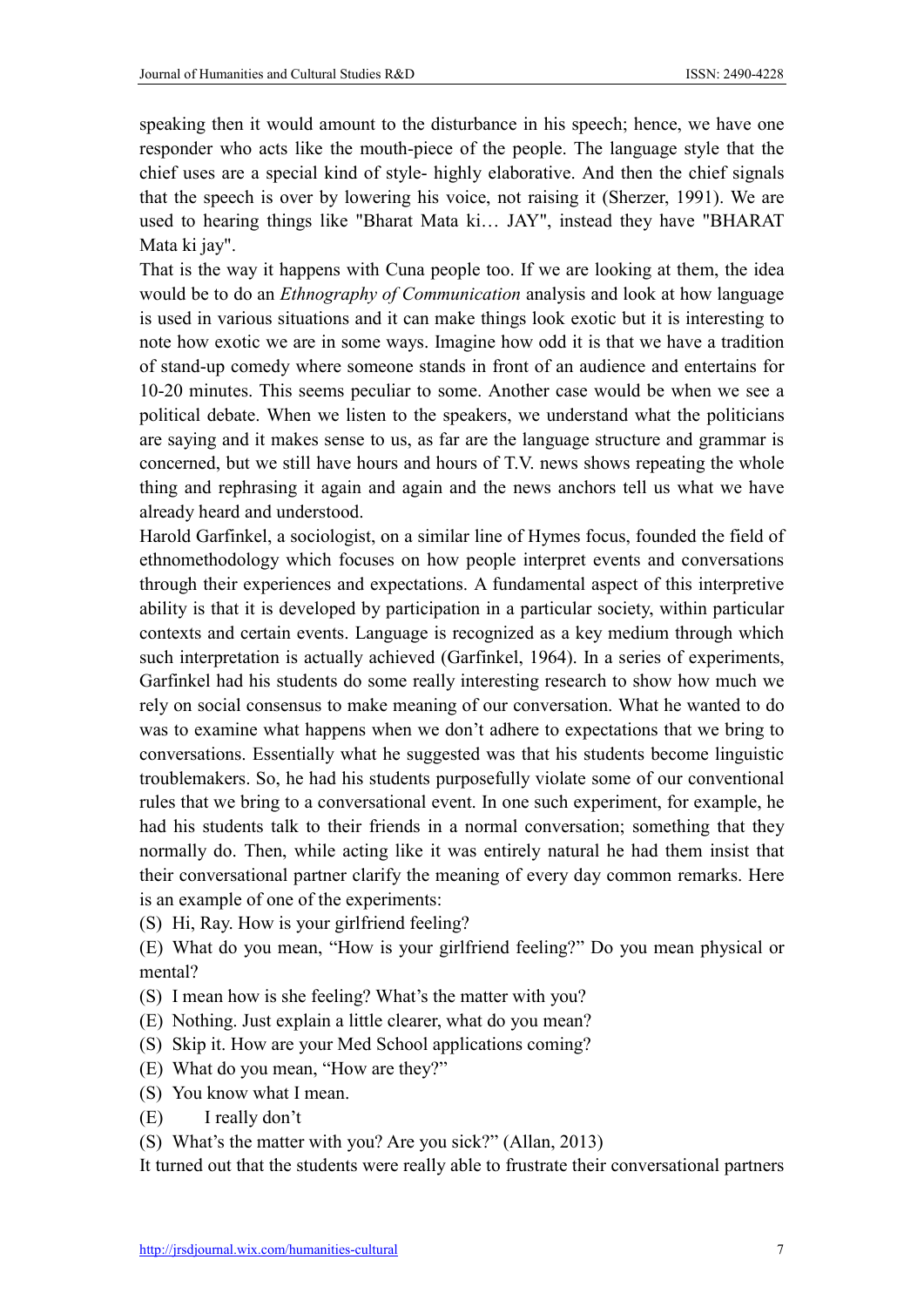speaking then it would amount to the disturbance in his speech; hence, we have one responder who acts like the mouth-piece of the people. The language style that the chief uses are a special kind of style- highly elaborative. And then the chief signals that the speech is over by lowering his voice, not raising it (Sherzer, 1991). We are used to hearing things like "Bharat Mata ki… JAY", instead they have "BHARAT Mata ki jay".

That is the way it happens with Cuna people too. If we are looking at them, the idea would be to do an *Ethnography of Communication* analysis and look at how language is used in various situations and it can make things look exotic but it is interesting to note how exotic we are in some ways. Imagine how odd it is that we have a tradition of stand-up comedy where someone stands in front of an audience and entertains for 10-20 minutes. This seems peculiar to some. Another case would be when we see a political debate. When we listen to the speakers, we understand what the politicians are saying and it makes sense to us, as far are the language structure and grammar is concerned, but we still have hours and hours of T.V. news shows repeating the whole thing and rephrasing it again and again and the news anchors tell us what we have already heard and understood.

Harold Garfinkel, a sociologist, on a similar line of Hymes focus, founded the field of ethnomethodology which focuses on how people interpret events and conversations through their experiences and expectations. A fundamental aspect of this interpretive ability is that it is developed by participation in a particular society, within particular contexts and certain events. Language is recognized as a key medium through which such interpretation is actually achieved (Garfinkel, 1964). In a series of experiments, Garfinkel had his students do some really interesting research to show how much we rely on social consensus to make meaning of our conversation. What he wanted to do was to examine what happens when we don't adhere to expectations that we bring to conversations. Essentially what he suggested was that his students become linguistic troublemakers. So, he had his students purposefully violate some of our conventional rules that we bring to a conversational event. In one such experiment, for example, he had his students talk to their friends in a normal conversation; something that they normally do. Then, while acting like it was entirely natural he had them insist that their conversational partner clarify the meaning of every day common remarks. Here is an example of one of the experiments:

- (S) Hi, Ray. How is your girlfriend feeling?
- (E) What do you mean, "How is your girlfriend feeling?" Do you mean physical or mental?
- (S) I mean how is she feeling? What's the matter with you?
- (E) Nothing. Just explain a little clearer, what do you mean?
- (S) Skip it. How are your Med School applications coming?
- (E) What do you mean, "How are they?"
- (S) You know what I mean.
- (E) I really don't
- (S) What's the matter with you? Are you sick?" (Allan, 2013)

It turned out that the students were really able to frustrate their conversational partners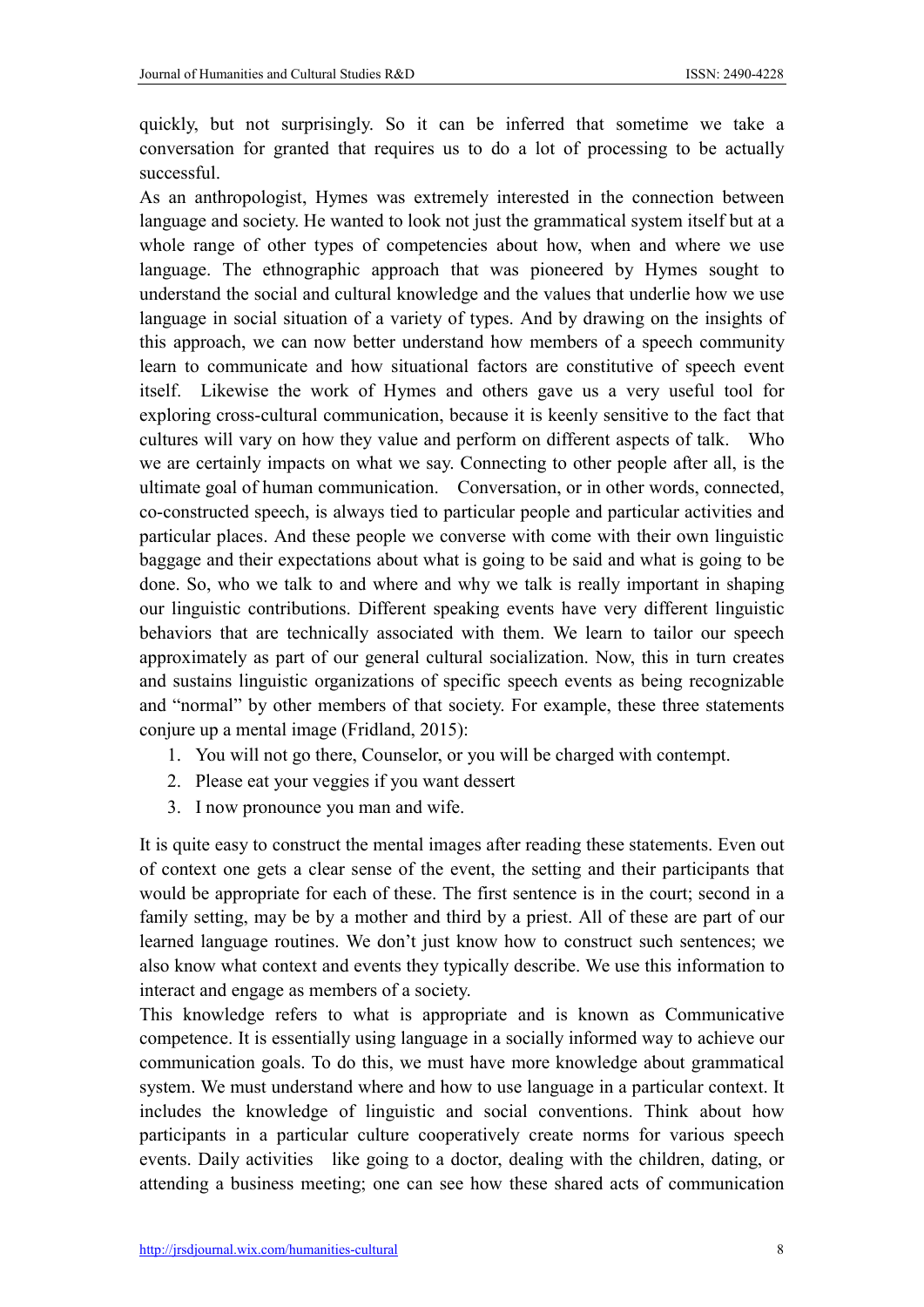quickly, but not surprisingly. So it can be inferred that sometime we take a conversation for granted that requires us to do a lot of processing to be actually successful.

As an anthropologist, Hymes was extremely interested in the connection between language and society. He wanted to look not just the grammatical system itself but at a whole range of other types of competencies about how, when and where we use language. The ethnographic approach that was pioneered by Hymes sought to understand the social and cultural knowledge and the values that underlie how we use language in social situation of a variety of types. And by drawing on the insights of this approach, we can now better understand how members of a speech community learn to communicate and how situational factors are constitutive of speech event itself. Likewise the work of Hymes and others gave us a very useful tool for exploring cross-cultural communication, because it is keenly sensitive to the fact that cultures will vary on how they value and perform on different aspects of talk. Who we are certainly impacts on what we say. Connecting to other people after all, is the ultimate goal of human communication. Conversation, or in other words, connected, co-constructed speech, is always tied to particular people and particular activities and particular places. And these people we converse with come with their own linguistic baggage and their expectations about what is going to be said and what is going to be done. So, who we talk to and where and why we talk is really important in shaping our linguistic contributions. Different speaking events have very different linguistic behaviors that are technically associated with them. We learn to tailor our speech approximately as part of our general cultural socialization. Now, this in turn creates and sustains linguistic organizations of specific speech events as being recognizable and "normal" by other members of that society. For example, these three statements conjure up a mental image (Fridland, 2015):

- 1. You will not go there, Counselor, or you will be charged with contempt.
- 2. Please eat your veggies if you want dessert
- 3. I now pronounce you man and wife.

It is quite easy to construct the mental images after reading these statements. Even out of context one gets a clear sense of the event, the setting and their participants that would be appropriate for each of these. The first sentence is in the court; second in a family setting, may be by a mother and third by a priest. All of these are part of our learned language routines. We don't just know how to construct such sentences; we also know what context and events they typically describe. We use this information to interact and engage as members of a society.

This knowledge refers to what is appropriate and is known as Communicative competence. It is essentially using language in a socially informed way to achieve our communication goals. To do this, we must have more knowledge about grammatical system. We must understand where and how to use language in a particular context. It includes the knowledge of linguistic and social conventions. Think about how participants in a particular culture cooperatively create norms for various speech events. Daily activities like going to a doctor, dealing with the children, dating, or attending a business meeting; one can see how these shared acts of communication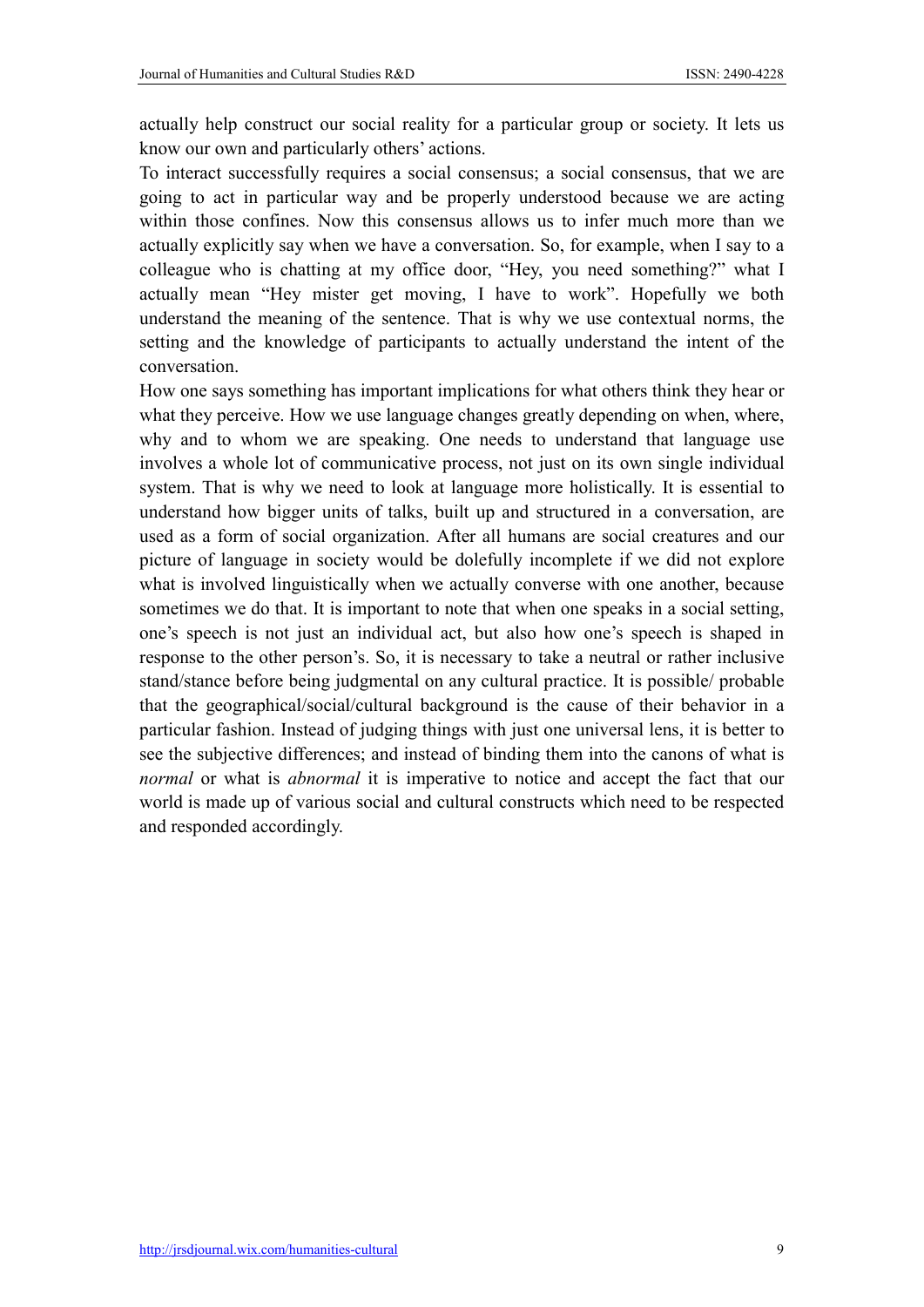actually help construct our social reality for a particular group or society. It lets us know our own and particularly others' actions.

To interact successfully requires a social consensus; a social consensus, that we are going to act in particular way and be properly understood because we are acting within those confines. Now this consensus allows us to infer much more than we actually explicitly say when we have a conversation. So, for example, when I say to a colleague who is chatting at my office door, "Hey, you need something?" what I actually mean "Hey mister get moving, I have to work". Hopefully we both understand the meaning of the sentence. That is why we use contextual norms, the setting and the knowledge of participants to actually understand the intent of the conversation.

How one says something has important implications for what others think they hear or what they perceive. How we use language changes greatly depending on when, where, why and to whom we are speaking. One needs to understand that language use involves a whole lot of communicative process, not just on its own single individual system. That is why we need to look at language more holistically. It is essential to understand how bigger units of talks, built up and structured in a conversation, are used as a form of social organization. After all humans are social creatures and our picture of language in society would be dolefully incomplete if we did not explore what is involved linguistically when we actually converse with one another, because sometimes we do that. It is important to note that when one speaks in a social setting, one's speech is not just an individual act, but also how one's speech is shaped in response to the other person's. So, it is necessary to take a neutral or rather inclusive stand/stance before being judgmental on any cultural practice. It is possible/ probable that the geographical/social/cultural background is the cause of their behavior in a particular fashion. Instead of judging things with just one universal lens, it is better to see the subjective differences; and instead of binding them into the canons of what is *normal* or what is *abnormal* it is imperative to notice and accept the fact that our world is made up of various social and cultural constructs which need to be respected and responded accordingly.